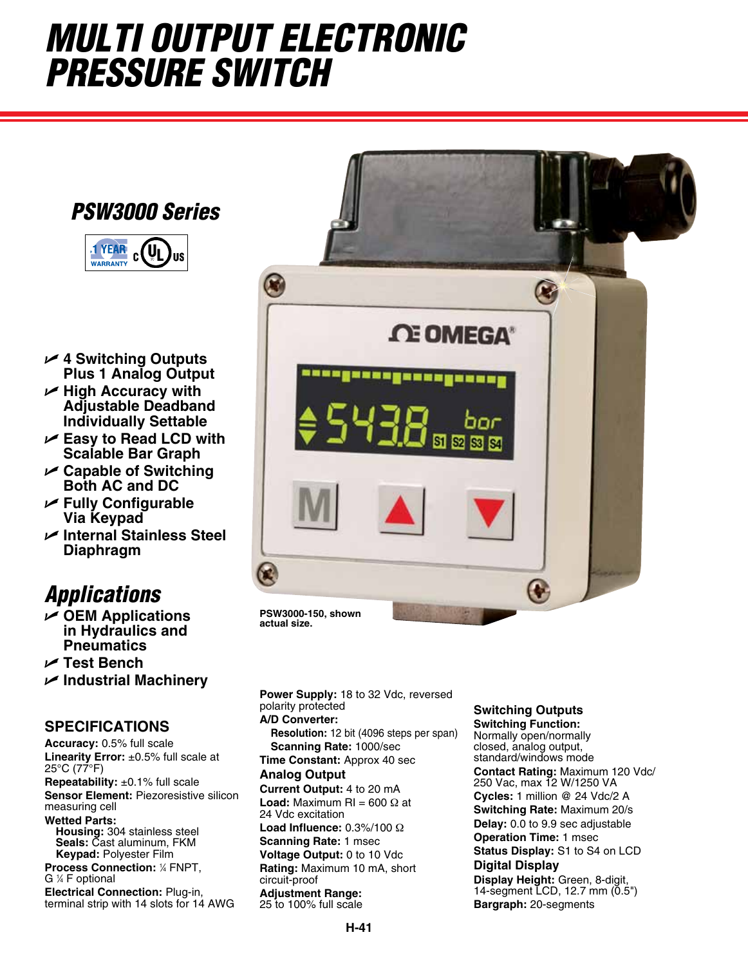# *Multi Output Electronic Pressure Switch*

### *PSW3000 Series*



- U **4 Switching Outputs Plus 1 Analog Output**
- U **High Accuracy with Adjustable Deadband Individually Settable**
- U **Easy to Read LCD with Scalable Bar Graph**
- U **Capable of Switching Both AC and DC**
- U **Fully Configurable Via Keypad**
- U **Internal Stainless Steel Diaphragm**

## *Applications*

- U **OEM Applications in Hydraulics and Pneumatics**
- U **Test Bench**
- U **Industrial Machinery**

### **SPECIFICATIONS**

**Accuracy:** 0.5% full scale **Linearity Error:** ±0.5% full scale at 25°C (77°F)

**Repeatability:** ±0.1% full scale **Sensor Element:** Piezoresistive silicon measuring cell

**Wetted Parts:**

**Housing:** 304 stainless steel **Seals:** Cast aluminum, FKM **Keypad:** Polyester Film

**Process Connection:** <sup>1</sup> ⁄4 FNPT, G 1 ⁄4 F optional

**Electrical Connection:** Plug-in, terminal strip with 14 slots for 14 AWG



**actual size.**

**Power Supply:** 18 to 32 Vdc, reversed polarity protected **A/D Converter:** 

**Resolution:** 12 bit (4096 steps per span) **Scanning Rate:** 1000/sec

**Time Constant:** Approx 40 sec **Analog Output** 

**Current Output:** 4 to 20 mA **Load:** Maximum RI = 600  $\Omega$  at

24 Vdc excitation **Load Influence:** 0.3%/100 Ω **Scanning Rate:** 1 msec

**Voltage Output:** 0 to 10 Vdc **Rating:** Maximum 10 mA, short circuit-proof

**Adjustment Range:** 25 to 100% full scale

### **Switching Outputs**

**Switching Function:** Normally open/normally closed, analog output, standard/windows mode **Contact Rating:** Maximum 120 Vdc/ 250 Vac, max 12 W/1250 VA **Cycles:** 1 million @ 24 Vdc/2 A **Switching Rate:** Maximum 20/s **Delay:** 0.0 to 9.9 sec adjustable **Operation Time:** 1 msec **Status Display:** S1 to S4 on LCD **Digital Display Display Height:** Green, 8-digit, 14-segment LCD, 12.7 mm (0.5") **Bargraph:** 20-segments